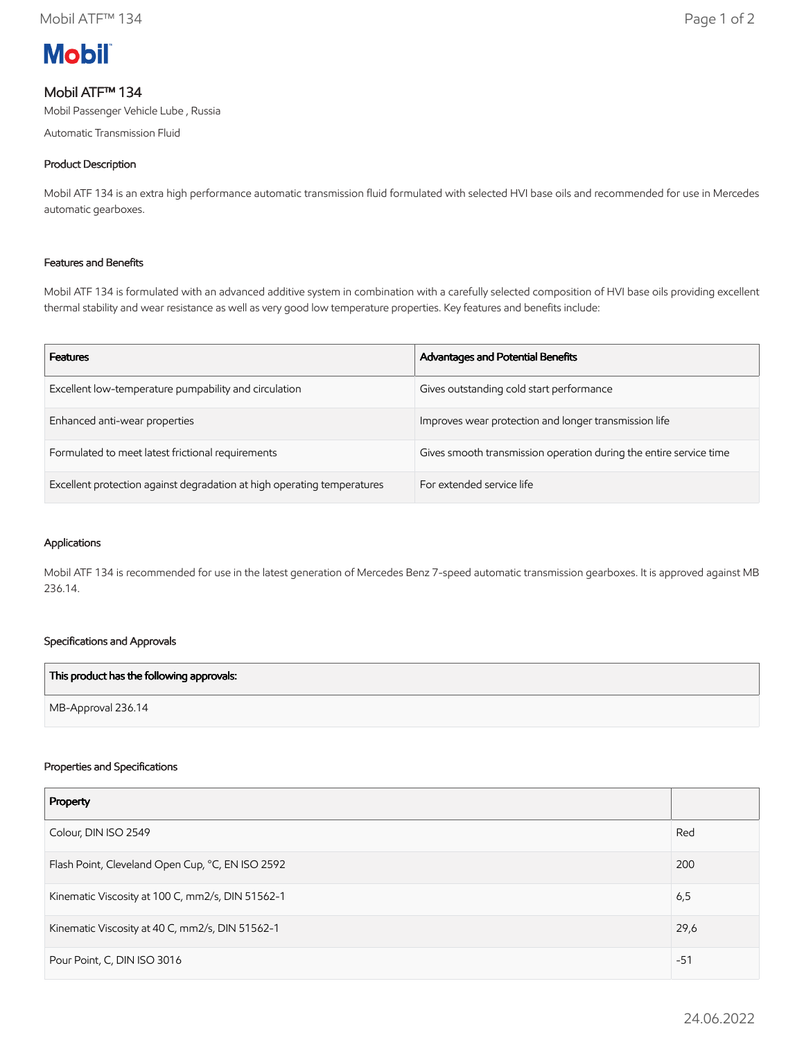

# Mobil ATF™ 134

Mobil Passenger Vehicle Lube , Russia

Automatic Transmission Fluid

# Product Description

Mobil ATF 134 is an extra high performance automatic transmission fluid formulated with selected HVI base oils and recommended for use in Mercedes automatic gearboxes.

## Features and Benefits

Mobil ATF 134 is formulated with an advanced additive system in combination with a carefully selected composition of HVI base oils providing excellent thermal stability and wear resistance as well as very good low temperature properties. Key features and benefits include:

| <b>Features</b>                                                         | Advantages and Potential Benefits                                  |
|-------------------------------------------------------------------------|--------------------------------------------------------------------|
| Excellent low-temperature pumpability and circulation                   | Gives outstanding cold start performance                           |
| Enhanced anti-wear properties                                           | Improves wear protection and longer transmission life              |
| Formulated to meet latest frictional requirements                       | Gives smooth transmission operation during the entire service time |
| Excellent protection against degradation at high operating temperatures | For extended service life                                          |

### Applications

Mobil ATF 134 is recommended for use in the latest generation of Mercedes Benz 7-speed automatic transmission gearboxes. It is approved against MB 236.14.

# Specifications and Approvals

| This product has the following approvals: |  |
|-------------------------------------------|--|
| MB-Approval 236.14                        |  |

#### Properties and Specifications

| Property                                         |       |
|--------------------------------------------------|-------|
| Colour, DIN ISO 2549                             | Red   |
| Flash Point, Cleveland Open Cup, °C, EN ISO 2592 | 200   |
| Kinematic Viscosity at 100 C, mm2/s, DIN 51562-1 | 6,5   |
| Kinematic Viscosity at 40 C, mm2/s, DIN 51562-1  | 29,6  |
| Pour Point, C, DIN ISO 3016                      | $-51$ |